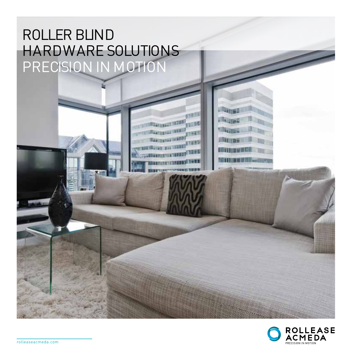



**ITARINE** 

**FRIDER** 

**All Reports ITHEIRE SIERSBIRGH** 

**Silica and I** 

evant i

雨泽

**ENTRELLANDER TO THE RE**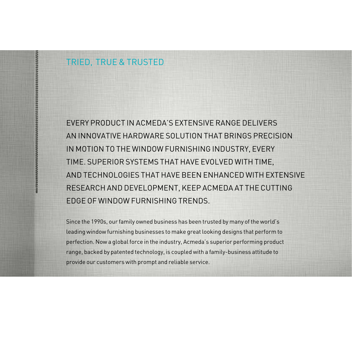# TRIED, TRUE & TRUSTED

EVERY PRODUCT IN ACMEDA'S EXTENSIVE RANGE DELIVERS AN INNOVATIVE HARDWARE SOLUTION THAT BRINGS PRECISION IN MOTION TO THE WINDOW FURNISHING INDUSTRY, EVERY TIME. SUPERIOR SYSTEMS THAT HAVE EVOLVED WITH TIME, AND TECHNOLOGIES THAT HAVE BEEN ENHANCED WITH EXTENSIVE RESEARCH AND DEVELOPMENT, KEEP ACMEDA AT THE CUTTING EDGE OF WINDOW FURNISHING TRENDS.

Since the 1990s, our family owned business has been trusted by many of the world's leading window furnishing businesses to make great looking designs that perform to perfection. Now a global force in the industry, Acmeda's superior performing product range, backed by patented technology, is coupled with a family-business attitude to provide our customers with prompt and reliable service.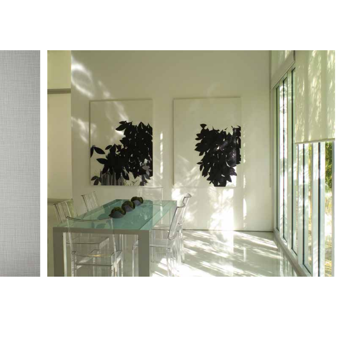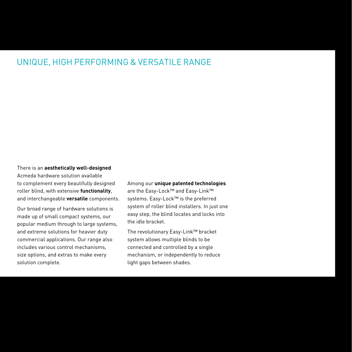# UNIQUE, HIGH PERFORMING & VERSATILE RANGE

#### There is an **aesthetically well-designed**

Acmeda hardware solution available to complement every beautifully designed roller blind, with extensive **functionality**, and interchangeable **versatile** components.

Our broad range of hardware solutions is made up of small compact systems, our popular medium through to large systems, and extreme solutions for heavier duty commercial applications. Our range also includes various control mechanisms, size options, and extras to make every solution complete.

Among our **unique patented technologies**  are the Easy-Lock™ and Easy-Link™ systems. Easy-Lock™ is the preferred system of roller blind installers. In just one easy step, the blind locates and locks into the idle bracket.

The revolutionary Easy-Link™ bracket system allows multiple blinds to be connected and controlled by a single mechanism, or independently to reduce light gaps between shades.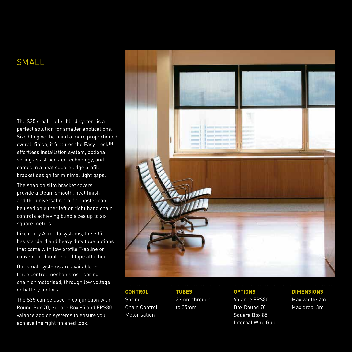# SMALL

The S35 small roller blind system is a perfect solution for smaller applications. Sized to give the blind a more proportioned overall finish, it features the Easy-Lock™ effortless installation system, optional spring assist booster technology, and comes in a neat square edge profile bracket design for minimal light gaps.

The snap on slim bracket covers provide a clean, smooth, neat finish and the universal retro-fit booster can be used on either left or right hand chain controls achieving blind sizes up to six square metres.

Like many Acmeda systems, the S35 has standard and heavy duty tube options that come with low profile T-spline or convenient double sided tape attached.

Our small systems are available in three control mechanisms - spring, chain or motorised, through low voltage or battery motors.

The S35 can be used in conjunction with Round Box 70, Square Box 85 and FRS80 valance add on systems to ensure you achieve the right finished look.



#### **CONTROL**

Spring Chain Control Motorisation

#### **TUBES**

33mm through to 35mm

#### **OPTIONS**

Valance FRS80 Box Round 70 Square Box 85 Internal Wire Guide

### **DIMENSIONS**

Max width: 2m Max drop: 3m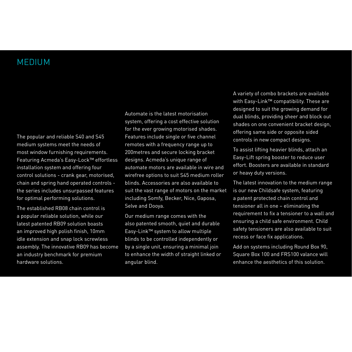# MEDIUM

The popular and reliable S40 and S45 medium systems meet the needs of most window furnishing requirements. Featuring Acmeda's Easy-Lock™ effortless installation system and offering four control solutions - crank gear, motorised, chain and spring hand operated controls the series includes unsurpassed features for optimal performing solutions.

The established RB08 chain control is a popular reliable solution, while our latest patented RB09 solution boasts an improved high polish finish, 10mm idle extension and snap lock screwless assembly. The innovative RB09 has become an industry benchmark for premium hardware solutions.

Automate is the latest motorisation system, offering a cost effective solution for the ever growing motorised shades. Features include single or five channel remotes with a frequency range up to 200metres and secure locking bracket designs. Acmeda's unique range of automate motors are available in wire and wirefree options to suit S45 medium roller blinds. Accessories are also available to suit the vast range of motors on the market including Somfy, Becker, Nice, Gaposa, Selve and Dooya.

Our medium range comes with the also patented smooth, quiet and durable Easy-Link™ system to allow multiple blinds to be controlled independently or by a single unit, ensuring a minimal join to enhance the width of straight linked or angular blind.

A variety of combo brackets are available with Easy-Link™ compatibility. These are designed to suit the growing demand for dual blinds, providing sheer and block out shades on one convenient bracket design, offering same side or opposite sided controls in new compact designs.

To assist lifting heavier blinds, attach an Easy-Lift spring booster to reduce user effort. Boosters are available in standard or heavy duty versions.

The latest innovation to the medium range is our new Childsafe system, featuring a patent protected chain control and tensioner all in one – eliminating the requirement to fix a tensioner to a wall and ensuring a child safe environment. Child safety tensioners are also available to suit recess or face fix applications.

Add on systems including Round Box 90, Square Box 100 and FRS100 valance will enhance the aesthetics of this solution.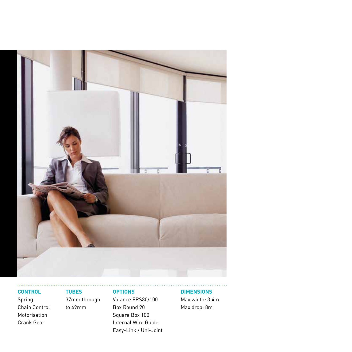

### **CONTROL**

Spring Chain Control Motorisation Crank Gear

### **TUBES**

37mm through to 49mm

### **OPTIONS**

Valance FRS80/100 Box Round 90 Square Box 100 Internal Wire Guide Easy-Link / Uni-Joint

#### **DIMENSIONS**

Max width: 3.4m Max drop: 8m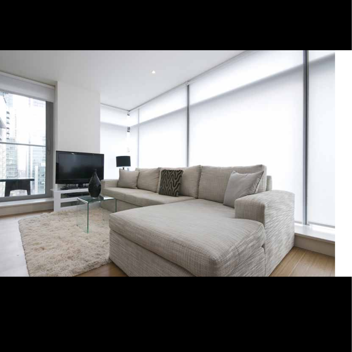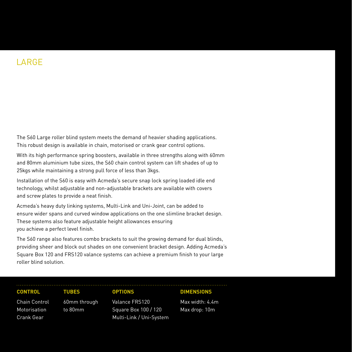# LARGE

The S60 Large roller blind system meets the demand of heavier shading applications. This robust design is available in chain, motorised or crank gear control options.

With its high performance spring boosters, available in three strengths along with 60mm and 80mm aluminium tube sizes, the S60 chain control system can lift shades of up to 25kgs while maintaining a strong pull force of less than 3kgs.

Installation of the S60 is easy with Acmeda's secure snap lock spring loaded idle end technology, whilst adjustable and non-adjustable brackets are available with covers and screw plates to provide a neat finish.

Acmeda's heavy duty linking systems, Multi-Link and Uni-Joint, can be added to ensure wider spans and curved window applications on the one slimline bracket design. These systems also feature adjustable height allowances ensuring you achieve a perfect level finish.

The S60 range also features combo brackets to suit the growing demand for dual blinds, providing sheer and block out shades on one convenient bracket design. Adding Acmeda's Square Box 120 and FRS120 valance systems can achieve a premium finish to your large roller blind solution.

#### **CONTROL**

### **TUBES**

Chain Control Motorisation Crank Gear

60mm through to 80mm

### **OPTIONS**

Valance FRS120 Square Box 100 / 120 Multi-Link / Uni-System

#### **DIMENSIONS**

Max width: 4.4m Max drop: 10m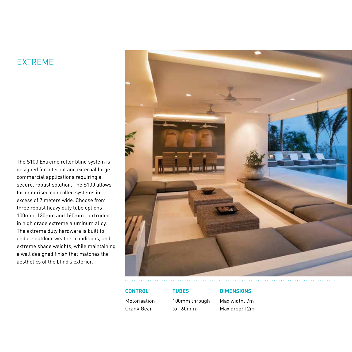# EXTREME

The S100 Extreme roller blind system is designed for internal and external large commercial applications requiring a secure, robust solution. The S100 allows for motorised controlled systems in excess of 7 meters wide. Choose from three robust heavy duty tube options - 100mm, 130mm and 160mm - extruded in high grade extreme aluminum alloy. The extreme duty hardware is built to endure outdoor weather conditions, and extreme shade weights, while maintaining a well designed finish that matches the aesthetics of the blind's exterior.



#### **CONTROL**

## **TUBES**

**DIMENSIONS**

Motorisation Crank Gear

100mm through to 160mm

Max width: 7m Max drop: 12m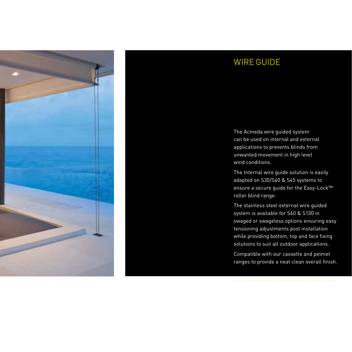

# WIRE GUIDE

The Acmeda wire guided system can be used on internal and external applications to prevents blinds from unwanted movement in high level wind conditions.

The Internal wire guide solution is easily adapted on S30/S40 & S45 systems to ensure a secure guide for the Easy-Lock™ roller blind range.

The stainless steel external wire guided system is available for S60 & S100 in swaged or swageless options ensuring easy tensioning adjustments post installation while providing bottom, top and face fixing solutions to suit all outdoor applications.

Compatible with our cassette and pelmet ranges to provide a neat clean overall finish.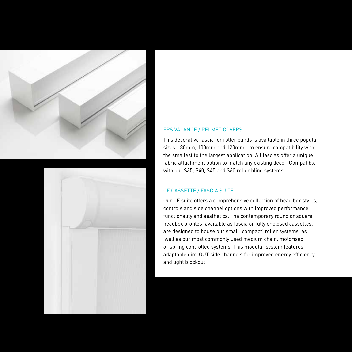



#### FRS VALANCE / PELMET COVERS

This decorative fascia for roller blinds is available in three popular sizes - 80mm, 100mm and 120mm - to ensure compatibility with the smallest to the largest application. All fascias offer a unique fabric attachment option to match any existing décor. Compatible with our S35, S40, S45 and S60 roller blind systems.

#### CF CASSETTE / FASCIA SUITE

Our CF suite offers a comprehensive collection of head box styles, controls and side channel options with improved performance, functionality and aesthetics. The contemporary round or square headbox profiles; available as fascia or fully enclosed cassettes, are designed to house our small (compact) roller systems, as well as our most commonly used medium chain, motorised or spring controlled systems. This modular system features adaptable dim-OUT side channels for improved energy efficiency and light blockout.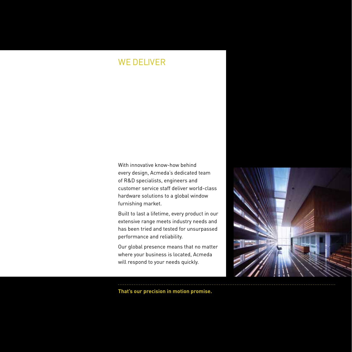# WE DELIVER

With innovative know-how behind every design, Acmeda's dedicated team of R&D specialists, engineers and customer service staff deliver world-class hardware solutions to a global window furnishing market.

Built to last a lifetime, every product in our extensive range meets industry needs and has been tried and tested for unsurpassed performance and reliability.

Our global presence means that no matter where your business is located, Acmeda will respond to your needs quickly.



**That's our precision in motion promise.**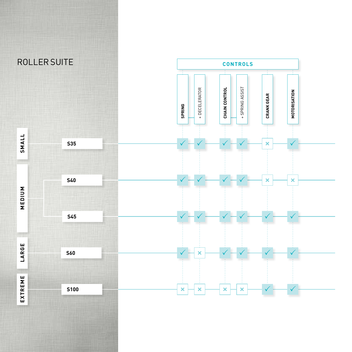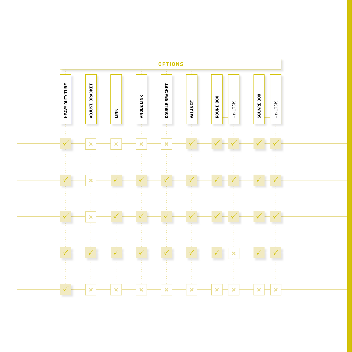